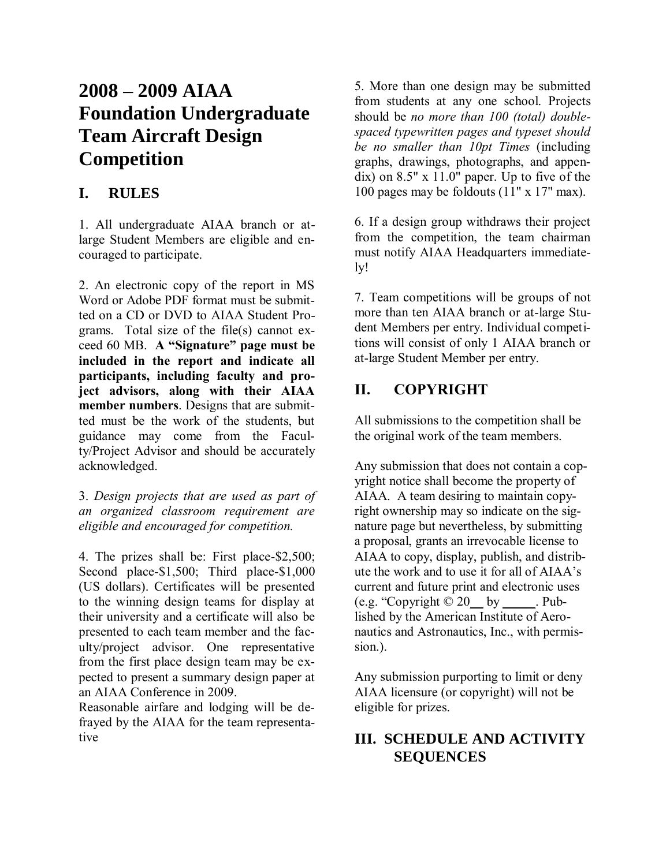# **2008 – 2009 AIAA Foundation Undergraduate Team Aircraft Design Competition**

### **I. RULES**

1. All undergraduate AIAA branch or atlarge Student Members are eligible and encouraged to participate.

2. An electronic copy of the report in MS Word or Adobe PDF format must be submitted on a CD or DVD to AIAA Student Programs. Total size of the file(s) cannot exceed 60 MB. **A "Signature" page must be included in the report and indicate all participants, including faculty and project advisors, along with their AIAA member numbers**. Designs that are submitted must be the work of the students, but guidance may come from the Faculty/Project Advisor and should be accurately acknowledged.

3. *Design projects that are used as part of an organized classroom requirement are eligible and encouraged for competition.*

4. The prizes shall be: First place-\$2,500; Second place-\$1,500; Third place-\$1,000 (US dollars). Certificates will be presented to the winning design teams for display at their university and a certificate will also be presented to each team member and the faculty/project advisor. One representative from the first place design team may be expected to present a summary design paper at an AIAA Conference in 2009.

Reasonable airfare and lodging will be defrayed by the AIAA for the team representative

5. More than one design may be submitted from students at any one school. Projects should be *no more than 100 (total) doublespaced typewritten pages and typeset should be no smaller than 10pt Times* (including graphs, drawings, photographs, and appendix) on 8.5" x 11.0" paper. Up to five of the 100 pages may be foldouts (11" x 17" max).

6. If a design group withdraws their project from the competition, the team chairman must notify AIAA Headquarters immediately!

7. Team competitions will be groups of not more than ten AIAA branch or at-large Student Members per entry. Individual competitions will consist of only 1 AIAA branch or at-large Student Member per entry.

### **II. COPYRIGHT**

All submissions to the competition shall be the original work of the team members.

Any submission that does not contain a copyright notice shall become the property of AIAA. A team desiring to maintain copyright ownership may so indicate on the signature page but nevertheless, by submitting a proposal, grants an irrevocable license to AIAA to copy, display, publish, and distribute the work and to use it for all of AIAA's current and future print and electronic uses  $(e.g. "Copyright © 20 by ... Pub$ lished by the American Institute of Aeronautics and Astronautics, Inc., with permission.).

Any submission purporting to limit or deny AIAA licensure (or copyright) will not be eligible for prizes.

### **III. SCHEDULE AND ACTIVITY SEQUENCES**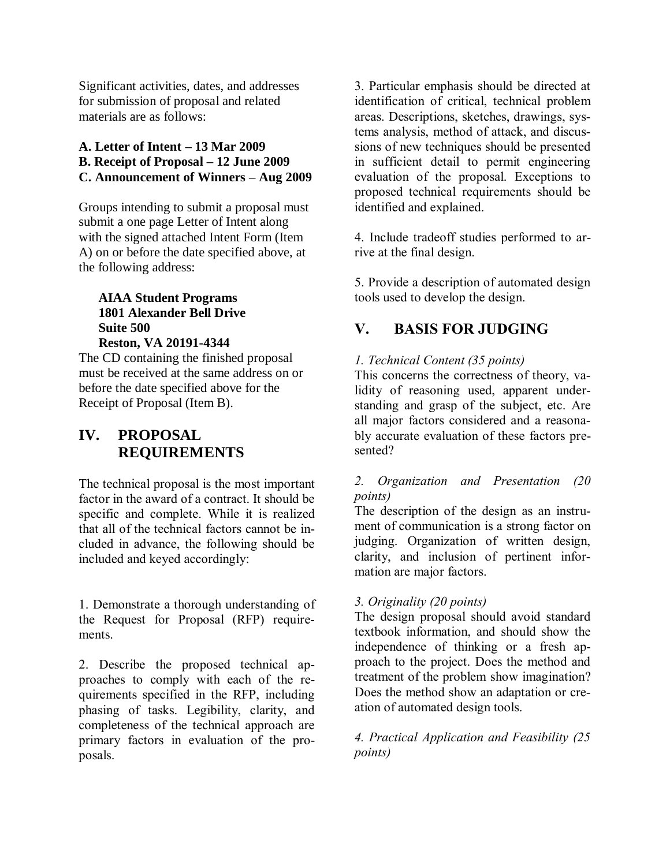Significant activities, dates, and addresses for submission of proposal and related materials are as follows:

#### **A. Letter of Intent – 13 Mar 2009 B. Receipt of Proposal – 12 June 2009 C. Announcement of Winners – Aug 2009**

Groups intending to submit a proposal must submit a one page Letter of Intent along with the signed attached Intent Form (Item A) on or before the date specified above, at the following address:

#### **AIAA Student Programs 1801 Alexander Bell Drive Suite 500 Reston, VA 20191-4344**

The CD containing the finished proposal must be received at the same address on or before the date specified above for the Receipt of Proposal (Item B).

### **IV. PROPOSAL REQUIREMENTS**

The technical proposal is the most important factor in the award of a contract. It should be specific and complete. While it is realized that all of the technical factors cannot be included in advance, the following should be included and keyed accordingly:

1. Demonstrate a thorough understanding of the Request for Proposal (RFP) requirements.

2. Describe the proposed technical approaches to comply with each of the requirements specified in the RFP, including phasing of tasks. Legibility, clarity, and completeness of the technical approach are primary factors in evaluation of the proposals.

3. Particular emphasis should be directed at identification of critical, technical problem areas. Descriptions, sketches, drawings, systems analysis, method of attack, and discussions of new techniques should be presented in sufficient detail to permit engineering evaluation of the proposal. Exceptions to proposed technical requirements should be identified and explained.

4. Include tradeoff studies performed to arrive at the final design.

5. Provide a description of automated design tools used to develop the design.

### **V. BASIS FOR JUDGING**

### *1. Technical Content (35 points)*

This concerns the correctness of theory, validity of reasoning used, apparent understanding and grasp of the subject, etc. Are all major factors considered and a reasonably accurate evaluation of these factors presented?

#### *2. Organization and Presentation (20 points)*

The description of the design as an instrument of communication is a strong factor on judging. Organization of written design, clarity, and inclusion of pertinent information are major factors.

#### *3. Originality (20 points)*

The design proposal should avoid standard textbook information, and should show the independence of thinking or a fresh approach to the project. Does the method and treatment of the problem show imagination? Does the method show an adaptation or creation of automated design tools.

*4. Practical Application and Feasibility (25 points)*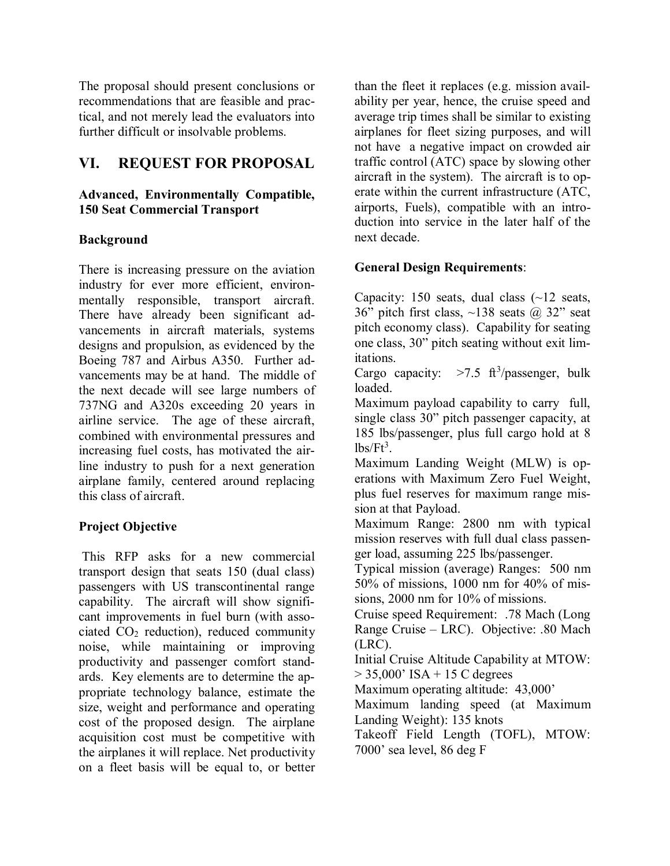The proposal should present conclusions or recommendations that are feasible and practical, and not merely lead the evaluators into further difficult or insolvable problems.

### **VI. REQUEST FOR PROPOSAL**

#### **Advanced, Environmentally Compatible, 150 Seat Commercial Transport**

#### **Background**

There is increasing pressure on the aviation industry for ever more efficient, environmentally responsible, transport aircraft. There have already been significant advancements in aircraft materials, systems designs and propulsion, as evidenced by the Boeing 787 and Airbus A350. Further advancements may be at hand. The middle of the next decade will see large numbers of 737NG and A320s exceeding 20 years in airline service. The age of these aircraft, combined with environmental pressures and increasing fuel costs, has motivated the airline industry to push for a next generation airplane family, centered around replacing this class of aircraft.

### **Project Objective**

This RFP asks for a new commercial transport design that seats 150 (dual class) passengers with US transcontinental range capability. The aircraft will show significant improvements in fuel burn (with associated CO<sup>2</sup> reduction), reduced community noise, while maintaining or improving productivity and passenger comfort standards. Key elements are to determine the appropriate technology balance, estimate the size, weight and performance and operating cost of the proposed design. The airplane acquisition cost must be competitive with the airplanes it will replace. Net productivity on a fleet basis will be equal to, or better than the fleet it replaces (e.g. mission availability per year, hence, the cruise speed and average trip times shall be similar to existing airplanes for fleet sizing purposes, and will not have a negative impact on crowded air traffic control (ATC) space by slowing other aircraft in the system). The aircraft is to operate within the current infrastructure (ATC, airports, Fuels), compatible with an introduction into service in the later half of the next decade.

#### **General Design Requirements**:

Capacity: 150 seats, dual class  $(\sim 12$  seats, 36" pitch first class,  $\sim$ 138 seats @ 32" seat pitch economy class). Capability for seating one class, 30" pitch seating without exit limitations.

Cargo capacity:  $>7.5$  ft<sup>3</sup>/passenger, bulk loaded.

Maximum payload capability to carry full, single class 30" pitch passenger capacity, at 185 lbs/passenger, plus full cargo hold at 8  $lbs/Ft^3$ .

Maximum Landing Weight (MLW) is operations with Maximum Zero Fuel Weight, plus fuel reserves for maximum range mission at that Payload.

Maximum Range: 2800 nm with typical mission reserves with full dual class passenger load, assuming 225 lbs/passenger.

Typical mission (average) Ranges: 500 nm 50% of missions, 1000 nm for 40% of missions, 2000 nm for 10% of missions.

Cruise speed Requirement: .78 Mach (Long Range Cruise – LRC). Objective: .80 Mach (LRC).

Initial Cruise Altitude Capability at MTOW:

 $> 35,000$ ' ISA + 15 C degrees

Maximum operating altitude: 43,000'

Maximum landing speed (at Maximum Landing Weight): 135 knots

Takeoff Field Length (TOFL), MTOW: 7000' sea level, 86 deg F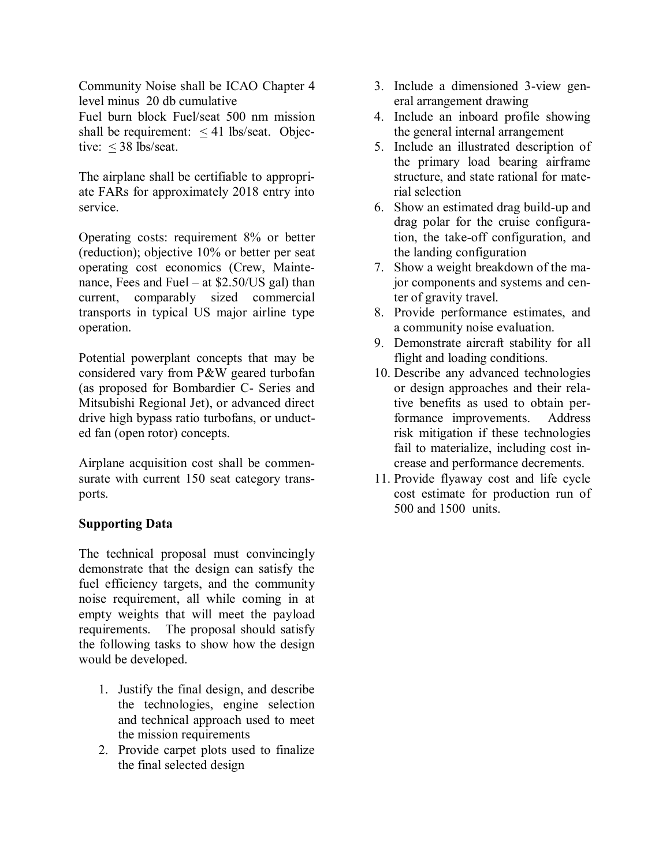Community Noise shall be ICAO Chapter 4 level minus 20 db cumulative

Fuel burn block Fuel/seat 500 nm mission shall be requirement:  $\leq$  41 lbs/seat. Objective:  $\leq$  38 lbs/seat.

The airplane shall be certifiable to appropriate FARs for approximately 2018 entry into service.

Operating costs: requirement 8% or better (reduction); objective 10% or better per seat operating cost economics (Crew, Maintenance, Fees and Fuel – at  $$2.50/US$  gal) than current, comparably sized commercial transports in typical US major airline type operation.

Potential powerplant concepts that may be considered vary from P&W geared turbofan (as proposed for Bombardier C- Series and Mitsubishi Regional Jet), or advanced direct drive high bypass ratio turbofans, or unducted fan (open rotor) concepts.

Airplane acquisition cost shall be commensurate with current 150 seat category transports.

#### **Supporting Data**

The technical proposal must convincingly demonstrate that the design can satisfy the fuel efficiency targets, and the community noise requirement, all while coming in at empty weights that will meet the payload requirements. The proposal should satisfy the following tasks to show how the design would be developed.

- 1. Justify the final design, and describe the technologies, engine selection and technical approach used to meet the mission requirements
- 2. Provide carpet plots used to finalize the final selected design
- 3. Include a dimensioned 3-view general arrangement drawing
- 4. Include an inboard profile showing the general internal arrangement
- 5. Include an illustrated description of the primary load bearing airframe structure, and state rational for material selection
- 6. Show an estimated drag build-up and drag polar for the cruise configuration, the take-off configuration, and the landing configuration
- 7. Show a weight breakdown of the major components and systems and center of gravity travel.
- 8. Provide performance estimates, and a community noise evaluation.
- 9. Demonstrate aircraft stability for all flight and loading conditions.
- 10. Describe any advanced technologies or design approaches and their relative benefits as used to obtain performance improvements. Address risk mitigation if these technologies fail to materialize, including cost increase and performance decrements.
- 11. Provide flyaway cost and life cycle cost estimate for production run of 500 and 1500 units.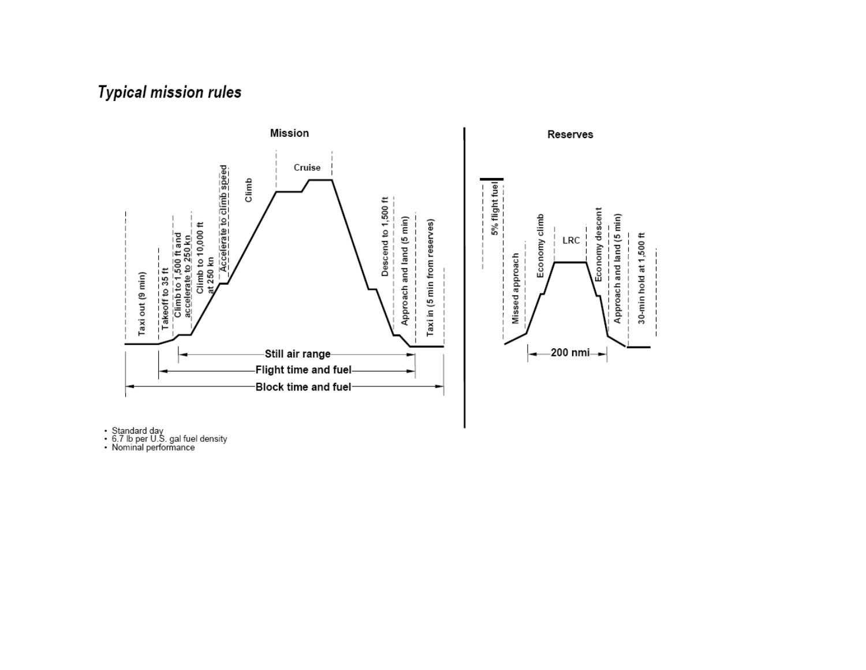## **Typical mission rules**



▪ Standard day<br>▪ 6.7 lb per U.S. gal fuel density<br>▪ Nominal performance